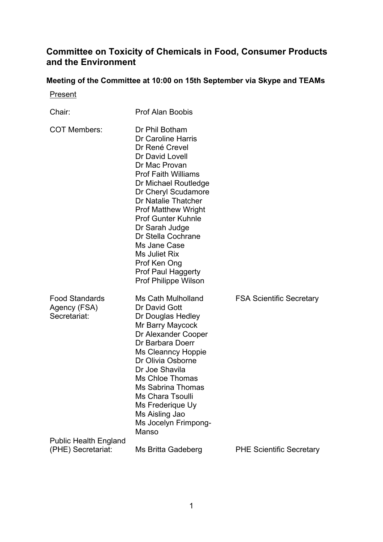## **Committee on Toxicity of Chemicals in Food, Consumer Products and the Environment**

## **Meeting of the Committee at 10:00 on 15th September via Skype and TEAMs**

**Present** 

| Chair:                                                | <b>Prof Alan Boobis</b>                                                                                                                                                                                                                                                                                                                                                                                        |                                 |
|-------------------------------------------------------|----------------------------------------------------------------------------------------------------------------------------------------------------------------------------------------------------------------------------------------------------------------------------------------------------------------------------------------------------------------------------------------------------------------|---------------------------------|
| <b>COT Members:</b>                                   | Dr Phil Botham<br>Dr Caroline Harris<br>Dr René Crevel<br>Dr David Lovell<br>Dr Mac Provan<br><b>Prof Faith Williams</b><br>Dr Michael Routledge<br>Dr Cheryl Scudamore<br>Dr Natalie Thatcher<br><b>Prof Matthew Wright</b><br><b>Prof Gunter Kuhnle</b><br>Dr Sarah Judge<br>Dr Stella Cochrane<br>Ms Jane Case<br>Ms Juliet Rix<br>Prof Ken Ong<br><b>Prof Paul Haggerty</b><br><b>Prof Philippe Wilson</b> |                                 |
| <b>Food Standards</b><br>Agency (FSA)<br>Secretariat: | Ms Cath Mulholland<br>Dr David Gott<br>Dr Douglas Hedley<br>Mr Barry Maycock<br>Dr Alexander Cooper<br>Dr Barbara Doerr<br><b>Ms Cleanncy Hoppie</b><br>Dr Olivia Osborne<br>Dr Joe Shavila<br>Ms Chloe Thomas<br>Ms Sabrina Thomas<br>Ms Chara Tsoulli<br>Ms Frederique Uy<br>Ms Aisling Jao<br>Ms Jocelyn Frimpong-<br>Manso                                                                                 | <b>FSA Scientific Secretary</b> |
| <b>Public Health England</b><br>(PHE) Secretariat:    | Ms Britta Gadeberg                                                                                                                                                                                                                                                                                                                                                                                             | <b>PHE Scientific Secretary</b> |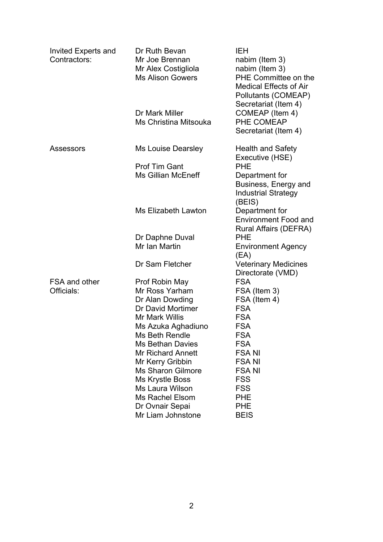| Invited Experts and<br>Contractors: | Dr Ruth Bevan<br>Mr Joe Brennan<br>Mr Alex Costigliola<br><b>Ms Alison Gowers</b> | <b>IEH</b><br>nabim (Item 3)<br>nabim (Item 3)<br>PHE Committee on the<br><b>Medical Effects of Air</b><br>Pollutants (COMEAP) |
|-------------------------------------|-----------------------------------------------------------------------------------|--------------------------------------------------------------------------------------------------------------------------------|
|                                     | Dr Mark Miller<br>Ms Christina Mitsouka                                           | Secretariat (Item 4)<br>COMEAP (Item 4)<br>PHE COMEAP<br>Secretariat (Item 4)                                                  |
| <b>Assessors</b>                    | Ms Louise Dearsley                                                                | <b>Health and Safety</b><br>Executive (HSE)                                                                                    |
|                                     | <b>Prof Tim Gant</b>                                                              | <b>PHE</b>                                                                                                                     |
|                                     | <b>Ms Gillian McEneff</b>                                                         | Department for<br>Business, Energy and<br><b>Industrial Strategy</b><br>(BEIS)                                                 |
|                                     | <b>Ms Elizabeth Lawton</b>                                                        | Department for<br><b>Environment Food and</b><br><b>Rural Affairs (DEFRA)</b>                                                  |
|                                     | Dr Daphne Duval                                                                   | <b>PHE</b>                                                                                                                     |
|                                     | Mr Ian Martin                                                                     | <b>Environment Agency</b><br>(EA)                                                                                              |
|                                     | Dr Sam Fletcher                                                                   | <b>Veterinary Medicines</b><br>Directorate (VMD)                                                                               |
| <b>FSA and other</b>                | Prof Robin May                                                                    | <b>FSA</b>                                                                                                                     |
| Officials:                          | Mr Ross Yarham                                                                    | FSA (Item 3)                                                                                                                   |
|                                     | Dr Alan Dowding                                                                   | FSA (Item 4)                                                                                                                   |
|                                     | Dr David Mortimer                                                                 | <b>FSA</b>                                                                                                                     |
|                                     | Mr Mark Willis                                                                    | <b>FSA</b>                                                                                                                     |
|                                     | Ms Azuka Aghadiuno                                                                | <b>FSA</b>                                                                                                                     |
|                                     | <b>Ms Beth Rendle</b>                                                             | <b>FSA</b>                                                                                                                     |
|                                     | <b>Ms Bethan Davies</b>                                                           | <b>FSA</b>                                                                                                                     |
|                                     | <b>Mr Richard Annett</b>                                                          | <b>FSANI</b>                                                                                                                   |
|                                     | Mr Kerry Gribbin                                                                  | <b>FSANI</b>                                                                                                                   |
|                                     | <b>Ms Sharon Gilmore</b>                                                          | <b>FSANI</b>                                                                                                                   |
|                                     | <b>Ms Krystle Boss</b>                                                            | <b>FSS</b>                                                                                                                     |
|                                     | Ms Laura Wilson                                                                   | <b>FSS</b>                                                                                                                     |
|                                     | <b>Ms Rachel Elsom</b>                                                            | <b>PHE</b>                                                                                                                     |
|                                     | Dr Ovnair Sepai                                                                   | <b>PHE</b>                                                                                                                     |
|                                     | Mr Liam Johnstone                                                                 | <b>BEIS</b>                                                                                                                    |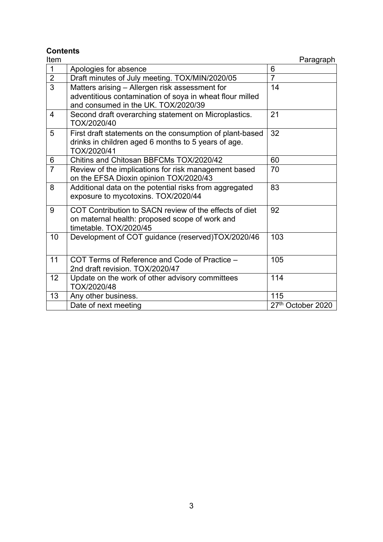# **Contents**

| Item           |                                                                                                                                                   | Paragraph         |
|----------------|---------------------------------------------------------------------------------------------------------------------------------------------------|-------------------|
| $\mathbf 1$    | Apologies for absence                                                                                                                             | 6                 |
| $\overline{2}$ | Draft minutes of July meeting. TOX/MIN/2020/05                                                                                                    | $\overline{7}$    |
| $\overline{3}$ | Matters arising – Allergen risk assessment for<br>adventitious contamination of soya in wheat flour milled<br>and consumed in the UK. TOX/2020/39 | 14                |
| 4              | Second draft overarching statement on Microplastics.<br>TOX/2020/40                                                                               | 21                |
| 5              | First draft statements on the consumption of plant-based<br>drinks in children aged 6 months to 5 years of age.<br>TOX/2020/41                    | 32                |
| 6              | Chitins and Chitosan BBFCMs TOX/2020/42                                                                                                           | 60                |
| $\overline{7}$ | Review of the implications for risk management based<br>on the EFSA Dioxin opinion TOX/2020/43                                                    | 70                |
| 8              | Additional data on the potential risks from aggregated<br>exposure to mycotoxins. TOX/2020/44                                                     | 83                |
| 9              | COT Contribution to SACN review of the effects of diet<br>on maternal health: proposed scope of work and<br>timetable. TOX/2020/45                | 92                |
| 10             | Development of COT guidance (reserved)TOX/2020/46                                                                                                 | 103               |
| 11             | COT Terms of Reference and Code of Practice -<br>2nd draft revision. TOX/2020/47                                                                  | 105               |
| 12             | Update on the work of other advisory committees<br>TOX/2020/48                                                                                    | 114               |
| 13             | Any other business.                                                                                                                               | 115               |
|                | Date of next meeting                                                                                                                              | 27th October 2020 |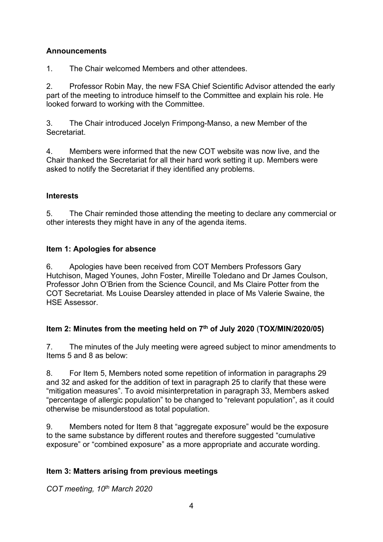## **Announcements**

1. The Chair welcomed Members and other attendees.

2. Professor Robin May, the new FSA Chief Scientific Advisor attended the early part of the meeting to introduce himself to the Committee and explain his role. He looked forward to working with the Committee.

3. The Chair introduced Jocelyn Frimpong-Manso, a new Member of the Secretariat.

4. Members were informed that the new COT website was now live, and the Chair thanked the Secretariat for all their hard work setting it up. Members were asked to notify the Secretariat if they identified any problems.

## **Interests**

5. The Chair reminded those attending the meeting to declare any commercial or other interests they might have in any of the agenda items.

## **Item 1: Apologies for absence**

6. Apologies have been received from COT Members Professors Gary Hutchison, Maged Younes, John Foster, Mireille Toledano and Dr James Coulson, Professor John O'Brien from the Science Council, and Ms Claire Potter from the COT Secretariat. Ms Louise Dearsley attended in place of Ms Valerie Swaine, the HSE Assessor.

## **Item 2: Minutes from the meeting held on 7th of July 2020** (**TOX/MIN/2020/05)**

7. The minutes of the July meeting were agreed subject to minor amendments to Items 5 and 8 as below:

8. For Item 5, Members noted some repetition of information in paragraphs 29 and 32 and asked for the addition of text in paragraph 25 to clarify that these were "mitigation measures". To avoid misinterpretation in paragraph 33, Members asked "percentage of allergic population" to be changed to "relevant population", as it could otherwise be misunderstood as total population.

9. Members noted for Item 8 that "aggregate exposure" would be the exposure to the same substance by different routes and therefore suggested "cumulative exposure" or "combined exposure" as a more appropriate and accurate wording.

## **Item 3: Matters arising from previous meetings**

*COT meeting, 10th March 2020*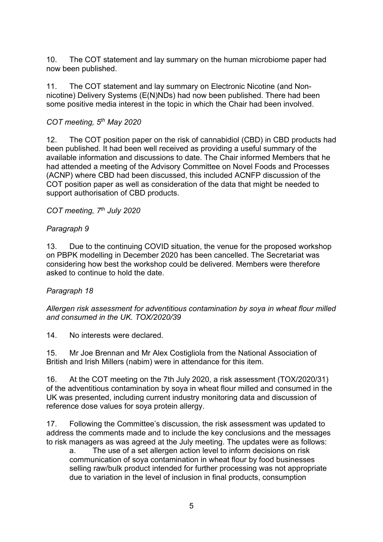10. The COT statement and lay summary on the human microbiome paper had now been published.

11. The COT statement and lay summary on Electronic Nicotine (and Nonnicotine) Delivery Systems (E(N)NDs) had now been published. There had been some positive media interest in the topic in which the Chair had been involved.

### *COT meeting, 5th May 2020*

12. The COT position paper on the risk of cannabidiol (CBD) in CBD products had been published. It had been well received as providing a useful summary of the available information and discussions to date. The Chair informed Members that he had attended a meeting of the Advisory Committee on Novel Foods and Processes (ACNP) where CBD had been discussed, this included ACNFP discussion of the COT position paper as well as consideration of the data that might be needed to support authorisation of CBD products.

#### *COT meeting, 7th July 2020*

#### *Paragraph 9*

13. Due to the continuing COVID situation, the venue for the proposed workshop on PBPK modelling in December 2020 has been cancelled. The Secretariat was considering how best the workshop could be delivered. Members were therefore asked to continue to hold the date.

#### *Paragraph 18*

*Allergen risk assessment for adventitious contamination by soya in wheat flour milled and consumed in the UK. TOX/2020/39*

14. No interests were declared.

15. Mr Joe Brennan and Mr Alex Costigliola from the National Association of British and Irish Millers (nabim) were in attendance for this item.

16. At the COT meeting on the 7th July 2020, a risk assessment (TOX/2020/31) of the adventitious contamination by soya in wheat flour milled and consumed in the UK was presented, including current industry monitoring data and discussion of reference dose values for soya protein allergy.

17. Following the Committee's discussion, the risk assessment was updated to address the comments made and to include the key conclusions and the messages to risk managers as was agreed at the July meeting. The updates were as follows:

a. The use of a set allergen action level to inform decisions on risk communication of soya contamination in wheat flour by food businesses selling raw/bulk product intended for further processing was not appropriate due to variation in the level of inclusion in final products, consumption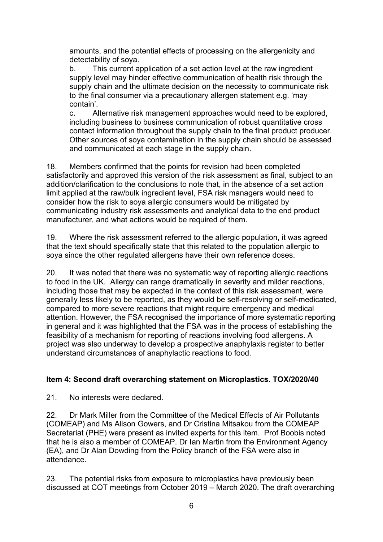amounts, and the potential effects of processing on the allergenicity and detectability of soya.

b. This current application of a set action level at the raw ingredient supply level may hinder effective communication of health risk through the supply chain and the ultimate decision on the necessity to communicate risk to the final consumer via a precautionary allergen statement e.g. 'may contain'.

c. Alternative risk management approaches would need to be explored, including business to business communication of robust quantitative cross contact information throughout the supply chain to the final product producer. Other sources of soya contamination in the supply chain should be assessed and communicated at each stage in the supply chain.

18. Members confirmed that the points for revision had been completed satisfactorily and approved this version of the risk assessment as final, subject to an addition/clarification to the conclusions to note that, in the absence of a set action limit applied at the raw/bulk ingredient level, FSA risk managers would need to consider how the risk to soya allergic consumers would be mitigated by communicating industry risk assessments and analytical data to the end product manufacturer, and what actions would be required of them.

19. Where the risk assessment referred to the allergic population, it was agreed that the text should specifically state that this related to the population allergic to soya since the other regulated allergens have their own reference doses.

20. It was noted that there was no systematic way of reporting allergic reactions to food in the UK. Allergy can range dramatically in severity and milder reactions, including those that may be expected in the context of this risk assessment, were generally less likely to be reported, as they would be self-resolving or self-medicated, compared to more severe reactions that might require emergency and medical attention. However, the FSA recognised the importance of more systematic reporting in general and it was highlighted that the FSA was in the process of establishing the feasibility of a mechanism for reporting of reactions involving food allergens. A project was also underway to develop a prospective anaphylaxis register to better understand circumstances of anaphylactic reactions to food.

#### **Item 4: Second draft overarching statement on Microplastics. TOX/2020/40**

21. No interests were declared.

22. Dr Mark Miller from the Committee of the Medical Effects of Air Pollutants (COMEAP) and Ms Alison Gowers, and Dr Cristina Mitsakou from the COMEAP Secretariat (PHE) were present as invited experts for this item. Prof Boobis noted that he is also a member of COMEAP. Dr Ian Martin from the Environment Agency (EA), and Dr Alan Dowding from the Policy branch of the FSA were also in attendance.

23. The potential risks from exposure to microplastics have previously been discussed at COT meetings from October 2019 – March 2020. The draft overarching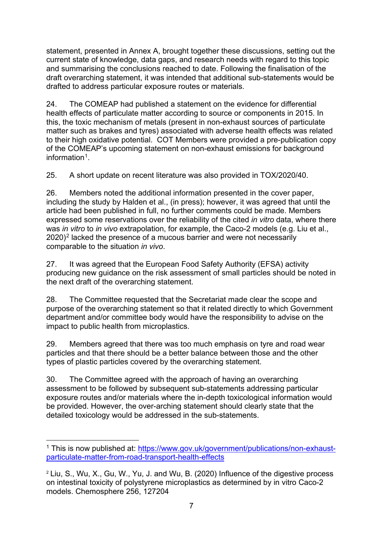statement, presented in Annex A, brought together these discussions, setting out the current state of knowledge, data gaps, and research needs with regard to this topic and summarising the conclusions reached to date. Following the finalisation of the draft overarching statement, it was intended that additional sub-statements would be drafted to address particular exposure routes or materials.

24. The COMEAP had published a statement on the evidence for differential health effects of particulate matter according to source or components in 2015. In this, the toxic mechanism of metals (present in non-exhaust sources of particulate matter such as brakes and tyres) associated with adverse health effects was related to their high oxidative potential. COT Members were provided a pre-publication copy of the COMEAP's upcoming statement on non-exhaust emissions for background information<sup>[1](#page-6-0)</sup>

25. A short update on recent literature was also provided in TOX/2020/40.

26. Members noted the additional information presented in the cover paper, including the study by Halden et al., (in press); however, it was agreed that until the article had been published in full, no further comments could be made. Members expressed some reservations over the reliability of the cited *in vitro* data, where there was *in vitro* to *in vivo* extrapolation, for example, the Caco-2 models (e.g. Liu et al., [2](#page-6-1)020)<sup>2</sup> lacked the presence of a mucous barrier and were not necessarily comparable to the situation *in vivo*.

27. It was agreed that the European Food Safety Authority (EFSA) activity producing new guidance on the risk assessment of small particles should be noted in the next draft of the overarching statement.

28. The Committee requested that the Secretariat made clear the scope and purpose of the overarching statement so that it related directly to which Government department and/or committee body would have the responsibility to advise on the impact to public health from microplastics.

29. Members agreed that there was too much emphasis on tyre and road wear particles and that there should be a better balance between those and the other types of plastic particles covered by the overarching statement.

30. The Committee agreed with the approach of having an overarching assessment to be followed by subsequent sub-statements addressing particular exposure routes and/or materials where the in-depth toxicological information would be provided. However, the over-arching statement should clearly state that the detailed toxicology would be addressed in the sub-statements.

<span id="page-6-0"></span><sup>&</sup>lt;sup>1</sup> This is now published at: [https://www.gov.uk/government/publications/non-exhaust](https://www.gov.uk/government/publications/non-exhaust-particulate-matter-from-road-transport-health-effects)[particulate-matter-from-road-transport-health-effects](https://www.gov.uk/government/publications/non-exhaust-particulate-matter-from-road-transport-health-effects)

<span id="page-6-1"></span><sup>2</sup> Liu, S., Wu, X., Gu, W., Yu, J. and Wu, B. (2020) Influence of the digestive process on intestinal toxicity of polystyrene microplastics as determined by in vitro Caco-2 models. Chemosphere 256, 127204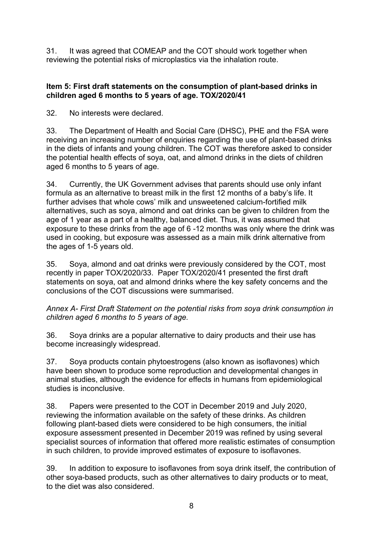31. It was agreed that COMEAP and the COT should work together when reviewing the potential risks of microplastics via the inhalation route.

#### **Item 5: First draft statements on the consumption of plant-based drinks in children aged 6 months to 5 years of age. TOX/2020/41**

32. No interests were declared.

33. The Department of Health and Social Care (DHSC), PHE and the FSA were receiving an increasing number of enquiries regarding the use of plant-based drinks in the diets of infants and young children. The COT was therefore asked to consider the potential health effects of soya, oat, and almond drinks in the diets of children aged 6 months to 5 years of age.

34. Currently, the UK Government advises that parents should use only infant formula as an alternative to breast milk in the first 12 months of a baby's life. It further advises that whole cows' milk and unsweetened calcium-fortified milk alternatives, such as soya, almond and oat drinks can be given to children from the age of 1 year as a part of a healthy, balanced diet. Thus, it was assumed that exposure to these drinks from the age of 6 -12 months was only where the drink was used in cooking, but exposure was assessed as a main milk drink alternative from the ages of 1-5 years old.

35. Soya, almond and oat drinks were previously considered by the COT, most recently in paper TOX/2020/33. Paper TOX/2020/41 presented the first draft statements on soya, oat and almond drinks where the key safety concerns and the conclusions of the COT discussions were summarised.

*Annex A- First Draft Statement on the potential risks from soya drink consumption in children aged 6 months to 5 years of age.*

36. Soya drinks are a popular alternative to dairy products and their use has become increasingly widespread.

37. Soya products contain phytoestrogens (also known as isoflavones) which have been shown to produce some reproduction and developmental changes in animal studies, although the evidence for effects in humans from epidemiological studies is inconclusive.

38. Papers were presented to the COT in December 2019 and July 2020, reviewing the information available on the safety of these drinks. As children following plant-based diets were considered to be high consumers, the initial exposure assessment presented in December 2019 was refined by using several specialist sources of information that offered more realistic estimates of consumption in such children, to provide improved estimates of exposure to isoflavones.

39. In addition to exposure to isoflavones from soya drink itself, the contribution of other soya-based products, such as other alternatives to dairy products or to meat, to the diet was also considered.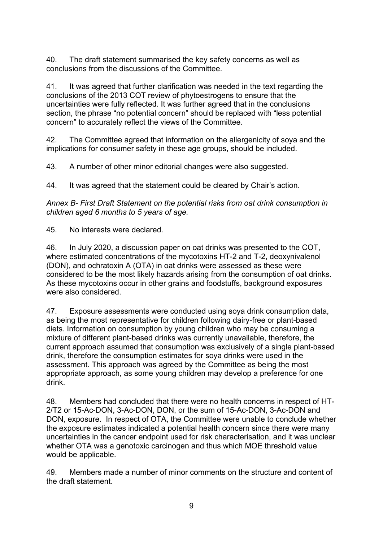40. The draft statement summarised the key safety concerns as well as conclusions from the discussions of the Committee.

41. It was agreed that further clarification was needed in the text regarding the conclusions of the 2013 COT review of phytoestrogens to ensure that the uncertainties were fully reflected. It was further agreed that in the conclusions section, the phrase "no potential concern" should be replaced with "less potential concern" to accurately reflect the views of the Committee.

42. The Committee agreed that information on the allergenicity of soya and the implications for consumer safety in these age groups, should be included.

43. A number of other minor editorial changes were also suggested.

44. It was agreed that the statement could be cleared by Chair's action.

*Annex B- First Draft Statement on the potential risks from oat drink consumption in children aged 6 months to 5 years of age.*

45. No interests were declared.

46. In July 2020, a discussion paper on oat drinks was presented to the COT, where estimated concentrations of the mycotoxins HT-2 and T-2, deoxynivalenol (DON), and ochratoxin A (OTA) in oat drinks were assessed as these were considered to be the most likely hazards arising from the consumption of oat drinks. As these mycotoxins occur in other grains and foodstuffs, background exposures were also considered.

47. Exposure assessments were conducted using soya drink consumption data, as being the most representative for children following dairy-free or plant-based diets. Information on consumption by young children who may be consuming a mixture of different plant-based drinks was currently unavailable, therefore, the current approach assumed that consumption was exclusively of a single plant-based drink, therefore the consumption estimates for soya drinks were used in the assessment. This approach was agreed by the Committee as being the most appropriate approach, as some young children may develop a preference for one drink.

48. Members had concluded that there were no health concerns in respect of HT-2/T2 or 15-Ac-DON, 3-Ac-DON, DON, or the sum of 15-Ac-DON, 3-Ac-DON and DON, exposure. In respect of OTA, the Committee were unable to conclude whether the exposure estimates indicated a potential health concern since there were many uncertainties in the cancer endpoint used for risk characterisation, and it was unclear whether OTA was a genotoxic carcinogen and thus which MOE threshold value would be applicable.

49. Members made a number of minor comments on the structure and content of the draft statement.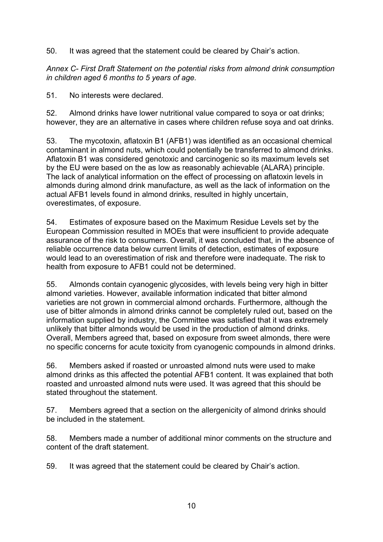50. It was agreed that the statement could be cleared by Chair's action.

*Annex C- First Draft Statement on the potential risks from almond drink consumption in children aged 6 months to 5 years of age.*

51. No interests were declared.

52. Almond drinks have lower nutritional value compared to soya or oat drinks; however, they are an alternative in cases where children refuse soya and oat drinks.

53. The mycotoxin, aflatoxin B1 (AFB1) was identified as an occasional chemical contaminant in almond nuts, which could potentially be transferred to almond drinks. Aflatoxin B1 was considered genotoxic and carcinogenic so its maximum levels set by the EU were based on the as low as reasonably achievable (ALARA) principle. The lack of analytical information on the effect of processing on aflatoxin levels in almonds during almond drink manufacture, as well as the lack of information on the actual AFB1 levels found in almond drinks, resulted in highly uncertain, overestimates, of exposure.

54. Estimates of exposure based on the Maximum Residue Levels set by the European Commission resulted in MOEs that were insufficient to provide adequate assurance of the risk to consumers. Overall, it was concluded that, in the absence of reliable occurrence data below current limits of detection, estimates of exposure would lead to an overestimation of risk and therefore were inadequate. The risk to health from exposure to AFB1 could not be determined.

55. Almonds contain cyanogenic glycosides, with levels being very high in bitter almond varieties. However, available information indicated that bitter almond varieties are not grown in commercial almond orchards. Furthermore, although the use of bitter almonds in almond drinks cannot be completely ruled out, based on the information supplied by industry, the Committee was satisfied that it was extremely unlikely that bitter almonds would be used in the production of almond drinks. Overall, Members agreed that, based on exposure from sweet almonds, there were no specific concerns for acute toxicity from cyanogenic compounds in almond drinks.

56. Members asked if roasted or unroasted almond nuts were used to make almond drinks as this affected the potential AFB1 content. It was explained that both roasted and unroasted almond nuts were used. It was agreed that this should be stated throughout the statement.

57. Members agreed that a section on the allergenicity of almond drinks should be included in the statement.

58. Members made a number of additional minor comments on the structure and content of the draft statement.

59. It was agreed that the statement could be cleared by Chair's action.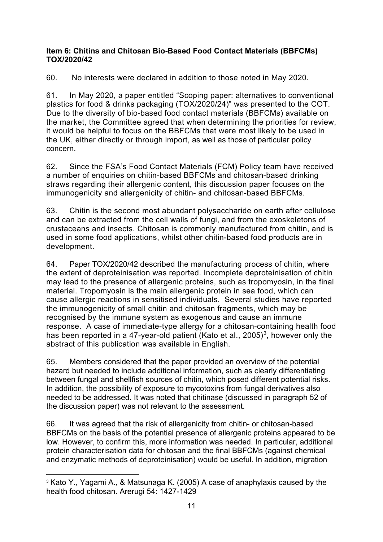#### **Item 6: Chitins and Chitosan Bio-Based Food Contact Materials (BBFCMs) TOX/2020/42**

60. No interests were declared in addition to those noted in May 2020.

61. In May 2020, a paper entitled "Scoping paper: alternatives to conventional plastics for food & drinks packaging (TOX/2020/24)" was presented to the COT. Due to the diversity of bio-based food contact materials (BBFCMs) available on the market, the Committee agreed that when determining the priorities for review, it would be helpful to focus on the BBFCMs that were most likely to be used in the UK, either directly or through import, as well as those of particular policy concern.

62. Since the FSA's Food Contact Materials (FCM) Policy team have received a number of enquiries on chitin-based BBFCMs and chitosan-based drinking straws regarding their allergenic content, this discussion paper focuses on the immunogenicity and allergenicity of chitin- and chitosan-based BBFCMs.

63. Chitin is the second most abundant polysaccharide on earth after cellulose and can be extracted from the cell walls of fungi, and from the exoskeletons of crustaceans and insects. Chitosan is commonly manufactured from chitin, and is used in some food applications, whilst other chitin-based food products are in development.

64. Paper TOX/2020/42 described the manufacturing process of chitin, where the extent of deproteinisation was reported. Incomplete deproteinisation of chitin may lead to the presence of allergenic proteins, such as tropomyosin, in the final material. Tropomyosin is the main allergenic protein in sea food, which can cause allergic reactions in sensitised individuals. Several studies have reported the immunogenicity of small chitin and chitosan fragments, which may be recognised by the immune system as exogenous and cause an immune response. A case of immediate-type allergy for a chitosan-containing health food has been reported in a 47-year-old patient (Kato et al., 2005)<sup>[3](#page-10-0)</sup>, however only the abstract of this publication was available in English.

65. Members considered that the paper provided an overview of the potential hazard but needed to include additional information, such as clearly differentiating between fungal and shellfish sources of chitin, which posed different potential risks. In addition, the possibility of exposure to mycotoxins from fungal derivatives also needed to be addressed. It was noted that chitinase (discussed in paragraph 52 of the discussion paper) was not relevant to the assessment.

66. It was agreed that the risk of allergenicity from chitin- or chitosan-based BBFCMs on the basis of the potential presence of allergenic proteins appeared to be low. However, to confirm this, more information was needed. In particular, additional protein characterisation data for chitosan and the final BBFCMs (against chemical and enzymatic methods of deproteinisation) would be useful. In addition, migration

<span id="page-10-0"></span><sup>&</sup>lt;sup>3</sup> Kato Y., Yagami A., & Matsunaga K. (2005) A case of anaphylaxis caused by the health food chitosan. Arerugi 54: 1427-1429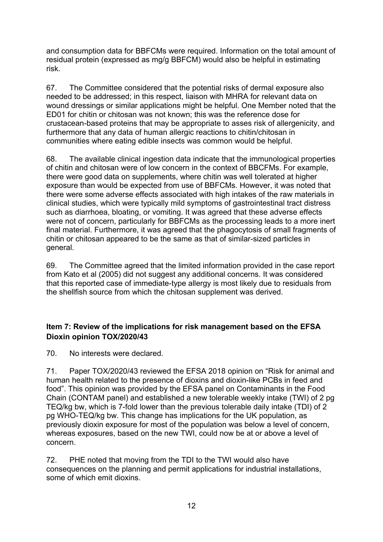and consumption data for BBFCMs were required. Information on the total amount of residual protein (expressed as mg/g BBFCM) would also be helpful in estimating risk.

67. The Committee considered that the potential risks of dermal exposure also needed to be addressed; in this respect, liaison with MHRA for relevant data on wound dressings or similar applications might be helpful. One Member noted that the ED01 for chitin or chitosan was not known; this was the reference dose for crustacean-based proteins that may be appropriate to asses risk of allergenicity, and furthermore that any data of human allergic reactions to chitin/chitosan in communities where eating edible insects was common would be helpful.

68. The available clinical ingestion data indicate that the immunological properties of chitin and chitosan were of low concern in the context of BBCFMs. For example, there were good data on supplements, where chitin was well tolerated at higher exposure than would be expected from use of BBFCMs. However, it was noted that there were some adverse effects associated with high intakes of the raw materials in clinical studies, which were typically mild symptoms of gastrointestinal tract distress such as diarrhoea, bloating, or vomiting. It was agreed that these adverse effects were not of concern, particularly for BBFCMs as the processing leads to a more inert final material. Furthermore, it was agreed that the phagocytosis of small fragments of chitin or chitosan appeared to be the same as that of similar-sized particles in general.

69. The Committee agreed that the limited information provided in the case report from Kato et al (2005) did not suggest any additional concerns. It was considered that this reported case of immediate-type allergy is most likely due to residuals from the shellfish source from which the chitosan supplement was derived.

## **Item 7: Review of the implications for risk management based on the EFSA Dioxin opinion TOX/2020/43**

70. No interests were declared.

71. Paper TOX/2020/43 reviewed the EFSA 2018 opinion on "Risk for animal and human health related to the presence of dioxins and dioxin-like PCBs in feed and food". This opinion was provided by the EFSA panel on Contaminants in the Food Chain (CONTAM panel) and established a new tolerable weekly intake (TWI) of 2 pg TEQ/kg bw, which is 7-fold lower than the previous tolerable daily intake (TDI) of 2 pg WHO-TEQ/kg bw. This change has implications for the UK population, as previously dioxin exposure for most of the population was below a level of concern, whereas exposures, based on the new TWI, could now be at or above a level of concern.

72. PHE noted that moving from the TDI to the TWI would also have consequences on the planning and permit applications for industrial installations, some of which emit dioxins.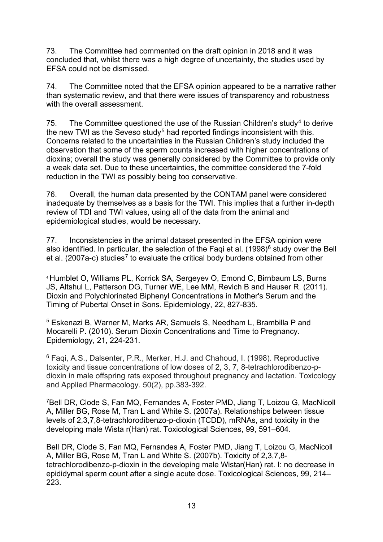73. The Committee had commented on the draft opinion in 2018 and it was concluded that, whilst there was a high degree of uncertainty, the studies used by EFSA could not be dismissed.

74. The Committee noted that the EFSA opinion appeared to be a narrative rather than systematic review, and that there were issues of transparency and robustness with the overall assessment.

75. The Committee questioned the use of the Russian Children's study<sup>[4](#page-12-0)</sup> to derive the new TWI as the Seveso study<sup>[5](#page-12-1)</sup> had reported findings inconsistent with this. Concerns related to the uncertainties in the Russian Children's study included the observation that some of the sperm counts increased with higher concentrations of dioxins; overall the study was generally considered by the Committee to provide only a weak data set. Due to these uncertainties, the committee considered the 7-fold reduction in the TWI as possibly being too conservative.

76. Overall, the human data presented by the CONTAM panel were considered inadequate by themselves as a basis for the TWI. This implies that a further in-depth review of TDI and TWI values, using all of the data from the animal and epidemiological studies, would be necessary.

77. Inconsistencies in the animal dataset presented in the EFSA opinion were also identified. In particular, the selection of the Faqi et al. (1998) $<sup>6</sup>$  $<sup>6</sup>$  $<sup>6</sup>$  study over the Bell</sup> et al. (200[7](#page-12-3)a-c) studies<sup>7</sup> to evaluate the critical body burdens obtained from other

<span id="page-12-0"></span><sup>4</sup> Humblet O, Williams PL, Korrick SA, Sergeyev O, Emond C, Birnbaum LS, Burns JS, Altshul L, Patterson DG, Turner WE, Lee MM, Revich B and Hauser R. (2011). Dioxin and Polychlorinated Biphenyl Concentrations in Mother's Serum and the Timing of Pubertal Onset in Sons. Epidemiology, 22, 827-835.

<span id="page-12-1"></span><sup>5</sup> Eskenazi B, Warner M, Marks AR, Samuels S, Needham L, Brambilla P and Mocarelli P. (2010). Serum Dioxin Concentrations and Time to Pregnancy. Epidemiology, 21, 224-231.

<span id="page-12-2"></span><sup>6</sup> Faqi, A.S., Dalsenter, P.R., Merker, H.J. and Chahoud, I. (1998). Reproductive toxicity and tissue concentrations of low doses of 2, 3, 7, 8-tetrachlorodibenzo-pdioxin in male offspring rats exposed throughout pregnancy and lactation. Toxicology and Applied Pharmacology. 50(2), pp.383-392.

<span id="page-12-3"></span>7Bell DR, Clode S, Fan MQ, Fernandes A, Foster PMD, Jiang T, Loizou G, MacNicoll A, Miller BG, Rose M, Tran L and White S. (2007a). Relationships between tissue levels of 2,3,7,8-tetrachlorodibenzo-p-dioxin (TCDD), mRNAs, and toxicity in the developing male Wista r(Han) rat. Toxicological Sciences, 99, 591–604.

Bell DR, Clode S, Fan MQ, Fernandes A, Foster PMD, Jiang T, Loizou G, MacNicoll A, Miller BG, Rose M, Tran L and White S. (2007b). Toxicity of 2,3,7,8 tetrachlorodibenzo-p-dioxin in the developing male Wistar(Han) rat. I: no decrease in epididymal sperm count after a single acute dose. Toxicological Sciences, 99, 214– 223.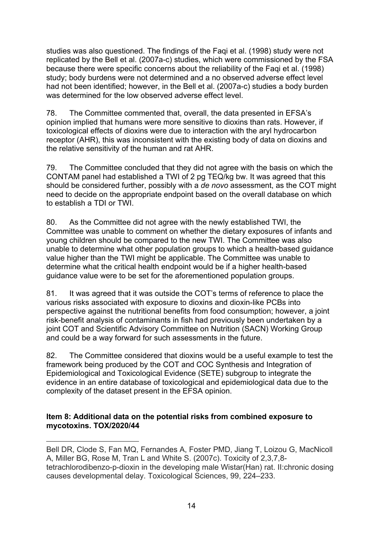studies was also questioned. The findings of the Faqi et al. (1998) study were not replicated by the Bell et al. (2007a-c) studies, which were commissioned by the FSA because there were specific concerns about the reliability of the Faqi et al. (1998) study; body burdens were not determined and a no observed adverse effect level had not been identified; however, in the Bell et al. (2007a-c) studies a body burden was determined for the low observed adverse effect level.

78. The Committee commented that, overall, the data presented in EFSA's opinion implied that humans were more sensitive to dioxins than rats. However, if toxicological effects of dioxins were due to interaction with the aryl hydrocarbon receptor (AHR), this was inconsistent with the existing body of data on dioxins and the relative sensitivity of the human and rat AHR.

79. The Committee concluded that they did not agree with the basis on which the CONTAM panel had established a TWI of 2 pg TEQ/kg bw. It was agreed that this should be considered further, possibly with a *de novo* assessment, as the COT might need to decide on the appropriate endpoint based on the overall database on which to establish a TDI or TWI.

80. As the Committee did not agree with the newly established TWI, the Committee was unable to comment on whether the dietary exposures of infants and young children should be compared to the new TWI. The Committee was also unable to determine what other population groups to which a health-based guidance value higher than the TWI might be applicable. The Committee was unable to determine what the critical health endpoint would be if a higher health-based guidance value were to be set for the aforementioned population groups.

81. It was agreed that it was outside the COT's terms of reference to place the various risks associated with exposure to dioxins and dioxin-like PCBs into perspective against the nutritional benefits from food consumption; however, a joint risk-benefit analysis of contaminants in fish had previously been undertaken by a joint COT and Scientific Advisory Committee on Nutrition (SACN) Working Group and could be a way forward for such assessments in the future.

82. The Committee considered that dioxins would be a useful example to test the framework being produced by the COT and COC Synthesis and Integration of Epidemiological and Toxicological Evidence (SETE) subgroup to integrate the evidence in an entire database of toxicological and epidemiological data due to the complexity of the dataset present in the EFSA opinion.

#### **Item 8: Additional data on the potential risks from combined exposure to mycotoxins. TOX/2020/44**

Bell DR, Clode S, Fan MQ, Fernandes A, Foster PMD, Jiang T, Loizou G, MacNicoll A, Miller BG, Rose M, Tran L and White S. (2007c). Toxicity of 2,3,7,8 tetrachlorodibenzo-p-dioxin in the developing male Wistar(Han) rat. II:chronic dosing causes developmental delay. Toxicological Sciences, 99, 224–233.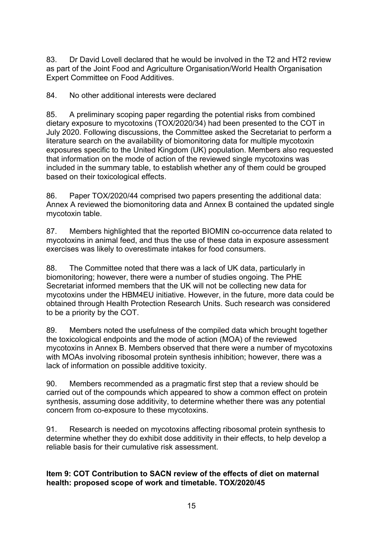83. Dr David Lovell declared that he would be involved in the T2 and HT2 review as part of the Joint Food and Agriculture Organisation/World Health Organisation Expert Committee on Food Additives.

84. No other additional interests were declared

85. A preliminary scoping paper regarding the potential risks from combined dietary exposure to mycotoxins (TOX/2020/34) had been presented to the COT in July 2020. Following discussions, the Committee asked the Secretariat to perform a literature search on the availability of biomonitoring data for multiple mycotoxin exposures specific to the United Kingdom (UK) population. Members also requested that information on the mode of action of the reviewed single mycotoxins was included in the summary table, to establish whether any of them could be grouped based on their toxicological effects.

86. Paper TOX/2020/44 comprised two papers presenting the additional data: Annex A reviewed the biomonitoring data and Annex B contained the updated single mycotoxin table.

87. Members highlighted that the reported BIOMIN co-occurrence data related to mycotoxins in animal feed, and thus the use of these data in exposure assessment exercises was likely to overestimate intakes for food consumers.

88. The Committee noted that there was a lack of UK data, particularly in biomonitoring; however, there were a number of studies ongoing. The PHE Secretariat informed members that the UK will not be collecting new data for mycotoxins under the HBM4EU initiative. However, in the future, more data could be obtained through Health Protection Research Units. Such research was considered to be a priority by the COT.

89. Members noted the usefulness of the compiled data which brought together the toxicological endpoints and the mode of action (MOA) of the reviewed mycotoxins in Annex B. Members observed that there were a number of mycotoxins with MOAs involving ribosomal protein synthesis inhibition; however, there was a lack of information on possible additive toxicity.

90. Members recommended as a pragmatic first step that a review should be carried out of the compounds which appeared to show a common effect on protein synthesis, assuming dose additivity, to determine whether there was any potential concern from co-exposure to these mycotoxins.

91. Research is needed on mycotoxins affecting ribosomal protein synthesis to determine whether they do exhibit dose additivity in their effects, to help develop a reliable basis for their cumulative risk assessment.

#### **Item 9: COT Contribution to SACN review of the effects of diet on maternal health: proposed scope of work and timetable. TOX/2020/45**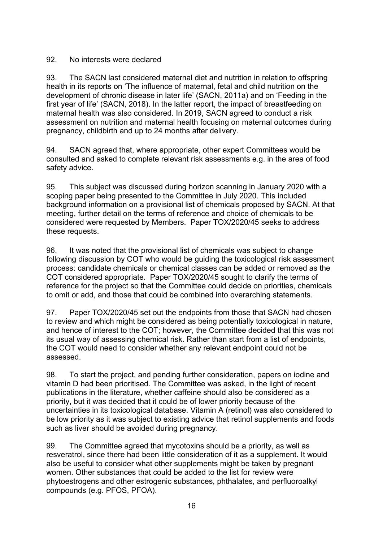#### 92. No interests were declared

93. The SACN last considered maternal diet and nutrition in relation to offspring health in its reports on 'The influence of maternal, fetal and child nutrition on the development of chronic disease in later life' (SACN, 2011a) and on 'Feeding in the first year of life' (SACN, 2018). In the latter report, the impact of breastfeeding on maternal health was also considered. In 2019, SACN agreed to conduct a risk assessment on nutrition and maternal health focusing on maternal outcomes during pregnancy, childbirth and up to 24 months after delivery.

94. SACN agreed that, where appropriate, other expert Committees would be consulted and asked to complete relevant risk assessments e.g. in the area of food safety advice.

95. This subject was discussed during horizon scanning in January 2020 with a scoping paper being presented to the Committee in July 2020. This included background information on a provisional list of chemicals proposed by SACN. At that meeting, further detail on the terms of reference and choice of chemicals to be considered were requested by Members. Paper TOX/2020/45 seeks to address these requests.

96. It was noted that the provisional list of chemicals was subject to change following discussion by COT who would be guiding the toxicological risk assessment process: candidate chemicals or chemical classes can be added or removed as the COT considered appropriate. Paper TOX/2020/45 sought to clarify the terms of reference for the project so that the Committee could decide on priorities, chemicals to omit or add, and those that could be combined into overarching statements.

97. Paper TOX/2020/45 set out the endpoints from those that SACN had chosen to review and which might be considered as being potentially toxicological in nature, and hence of interest to the COT; however, the Committee decided that this was not its usual way of assessing chemical risk. Rather than start from a list of endpoints, the COT would need to consider whether any relevant endpoint could not be assessed.

98. To start the project, and pending further consideration, papers on iodine and vitamin D had been prioritised. The Committee was asked, in the light of recent publications in the literature, whether caffeine should also be considered as a priority, but it was decided that it could be of lower priority because of the uncertainties in its toxicological database. Vitamin A (retinol) was also considered to be low priority as it was subject to existing advice that retinol supplements and foods such as liver should be avoided during pregnancy.

99. The Committee agreed that mycotoxins should be a priority, as well as resveratrol, since there had been little consideration of it as a supplement. It would also be useful to consider what other supplements might be taken by pregnant women. Other substances that could be added to the list for review were phytoestrogens and other estrogenic substances, phthalates, and perfluoroalkyl compounds (e.g. PFOS, PFOA).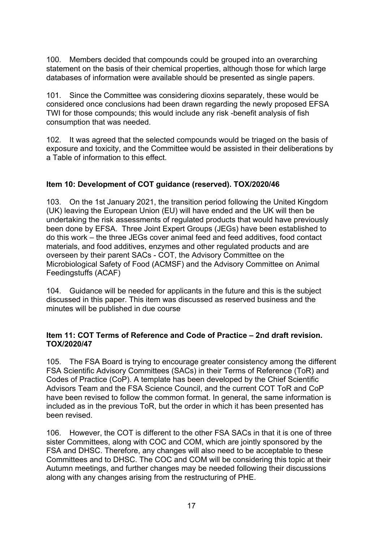100. Members decided that compounds could be grouped into an overarching statement on the basis of their chemical properties, although those for which large databases of information were available should be presented as single papers.

101. Since the Committee was considering dioxins separately, these would be considered once conclusions had been drawn regarding the newly proposed EFSA TWI for those compounds; this would include any risk -benefit analysis of fish consumption that was needed.

102. It was agreed that the selected compounds would be triaged on the basis of exposure and toxicity, and the Committee would be assisted in their deliberations by a Table of information to this effect.

#### **Item 10: Development of COT guidance (reserved). TOX/2020/46**

103. On the 1st January 2021, the transition period following the United Kingdom (UK) leaving the European Union (EU) will have ended and the UK will then be undertaking the risk assessments of regulated products that would have previously been done by EFSA. Three Joint Expert Groups (JEGs) have been established to do this work – the three JEGs cover animal feed and feed additives, food contact materials, and food additives, enzymes and other regulated products and are overseen by their parent SACs - COT, the Advisory Committee on the Microbiological Safety of Food (ACMSF) and the Advisory Committee on Animal Feedingstuffs (ACAF)

104. Guidance will be needed for applicants in the future and this is the subject discussed in this paper. This item was discussed as reserved business and the minutes will be published in due course

#### **Item 11: COT Terms of Reference and Code of Practice – 2nd draft revision. TOX/2020/47**

105. The FSA Board is trying to encourage greater consistency among the different FSA Scientific Advisory Committees (SACs) in their Terms of Reference (ToR) and Codes of Practice (CoP). A template has been developed by the Chief Scientific Advisors Team and the FSA Science Council, and the current COT ToR and CoP have been revised to follow the common format. In general, the same information is included as in the previous ToR, but the order in which it has been presented has been revised.

106. However, the COT is different to the other FSA SACs in that it is one of three sister Committees, along with COC and COM, which are jointly sponsored by the FSA and DHSC. Therefore, any changes will also need to be acceptable to these Committees and to DHSC. The COC and COM will be considering this topic at their Autumn meetings, and further changes may be needed following their discussions along with any changes arising from the restructuring of PHE.